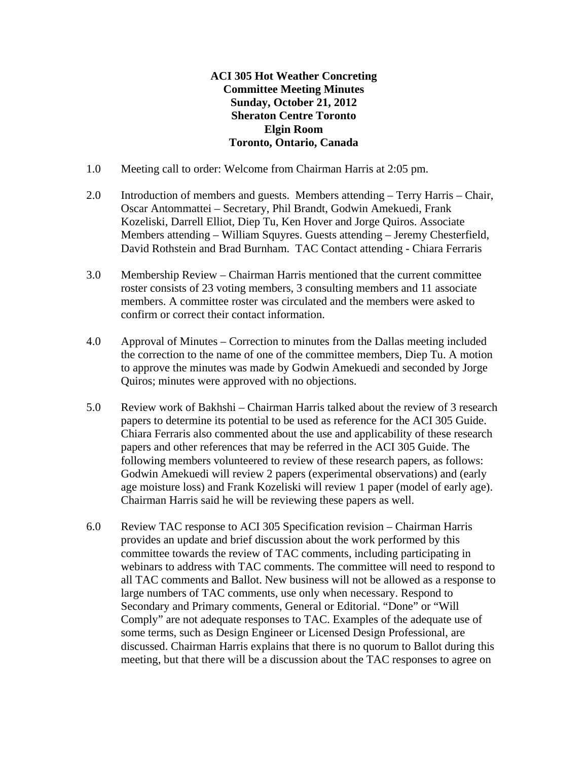## **ACI 305 Hot Weather Concreting Committee Meeting Minutes Sunday, October 21, 2012 Sheraton Centre Toronto Elgin Room Toronto, Ontario, Canada**

- 1.0 Meeting call to order: Welcome from Chairman Harris at 2:05 pm.
- 2.0 Introduction of members and guests. Members attending Terry Harris Chair, Oscar Antommattei – Secretary, Phil Brandt, Godwin Amekuedi, Frank Kozeliski, Darrell Elliot, Diep Tu, Ken Hover and Jorge Quiros. Associate Members attending – William Squyres. Guests attending – Jeremy Chesterfield, David Rothstein and Brad Burnham. TAC Contact attending - Chiara Ferraris
- 3.0 Membership Review Chairman Harris mentioned that the current committee roster consists of 23 voting members, 3 consulting members and 11 associate members. A committee roster was circulated and the members were asked to confirm or correct their contact information.
- 4.0 Approval of Minutes Correction to minutes from the Dallas meeting included the correction to the name of one of the committee members, Diep Tu. A motion to approve the minutes was made by Godwin Amekuedi and seconded by Jorge Quiros; minutes were approved with no objections.
- 5.0 Review work of Bakhshi Chairman Harris talked about the review of 3 research papers to determine its potential to be used as reference for the ACI 305 Guide. Chiara Ferraris also commented about the use and applicability of these research papers and other references that may be referred in the ACI 305 Guide. The following members volunteered to review of these research papers, as follows: Godwin Amekuedi will review 2 papers (experimental observations) and (early age moisture loss) and Frank Kozeliski will review 1 paper (model of early age). Chairman Harris said he will be reviewing these papers as well.
- 6.0 Review TAC response to ACI 305 Specification revision Chairman Harris provides an update and brief discussion about the work performed by this committee towards the review of TAC comments, including participating in webinars to address with TAC comments. The committee will need to respond to all TAC comments and Ballot. New business will not be allowed as a response to large numbers of TAC comments, use only when necessary. Respond to Secondary and Primary comments, General or Editorial. "Done" or "Will Comply" are not adequate responses to TAC. Examples of the adequate use of some terms, such as Design Engineer or Licensed Design Professional, are discussed. Chairman Harris explains that there is no quorum to Ballot during this meeting, but that there will be a discussion about the TAC responses to agree on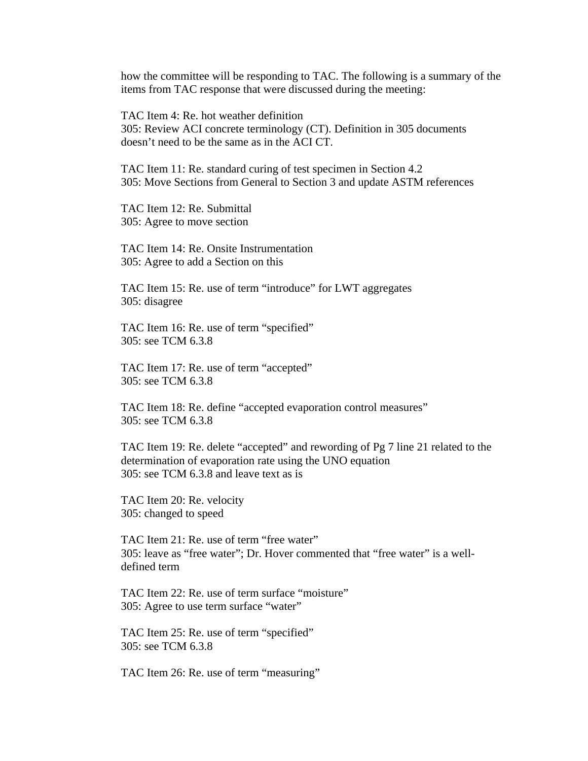how the committee will be responding to TAC. The following is a summary of the items from TAC response that were discussed during the meeting:

TAC Item 4: Re. hot weather definition 305: Review ACI concrete terminology (CT). Definition in 305 documents doesn't need to be the same as in the ACI CT.

TAC Item 11: Re. standard curing of test specimen in Section 4.2 305: Move Sections from General to Section 3 and update ASTM references

TAC Item 12: Re. Submittal 305: Agree to move section

TAC Item 14: Re. Onsite Instrumentation 305: Agree to add a Section on this

TAC Item 15: Re. use of term "introduce" for LWT aggregates 305: disagree

TAC Item 16: Re. use of term "specified" 305: see TCM 6.3.8

TAC Item 17: Re. use of term "accepted" 305: see TCM 6.3.8

TAC Item 18: Re. define "accepted evaporation control measures" 305: see TCM 6.3.8

TAC Item 19: Re. delete "accepted" and rewording of Pg 7 line 21 related to the determination of evaporation rate using the UNO equation 305: see TCM 6.3.8 and leave text as is

TAC Item 20: Re. velocity 305: changed to speed

TAC Item 21: Re. use of term "free water" 305: leave as "free water"; Dr. Hover commented that "free water" is a welldefined term

TAC Item 22: Re. use of term surface "moisture" 305: Agree to use term surface "water"

TAC Item 25: Re. use of term "specified" 305: see TCM 6.3.8

TAC Item 26: Re. use of term "measuring"